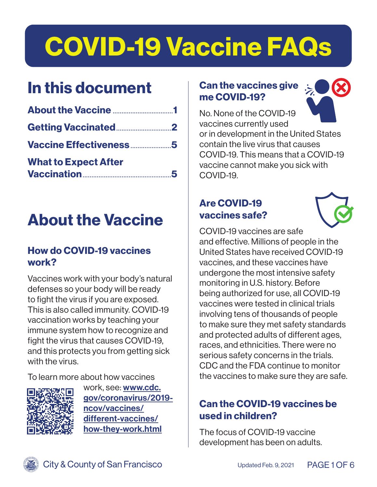# COVID-19 Vaccine FAQs

# In this document

| Vaccine Effectiveness5      |  |
|-----------------------------|--|
| <b>What to Expect After</b> |  |

# About the Vaccine

#### How do COVID-19 vaccines work?

Vaccines work with your body's natural defenses so your body will be ready to fight the virus if you are exposed. This is also called immunity. COVID-19 vaccination works by teaching your immune system how to recognize and fight the virus that causes COVID-19, and this protects you from getting sick with the virus.

To learn more about how vaccines



work, see: [www.cdc.](http://www.cdc.gov/coronavirus/2019-ncov/vaccines/different-vaccines/how-they-work.html ) [gov/coronavirus/2019](http://www.cdc.gov/coronavirus/2019-ncov/vaccines/different-vaccines/how-they-work.html ) [ncov/vaccines/](http://www.cdc.gov/coronavirus/2019-ncov/vaccines/different-vaccines/how-they-work.html ) [different-vaccines/](http://www.cdc.gov/coronavirus/2019-ncov/vaccines/different-vaccines/how-they-work.html ) [how-they-work.html](http://www.cdc.gov/coronavirus/2019-ncov/vaccines/different-vaccines/how-they-work.html )

#### Can the vaccines give me COVID-19?



No. None of the COVID-19 vaccines currently used or in development in the United States contain the live virus that causes COVID-19. This means that a COVID-19 vaccine cannot make you sick with COVID-19.

### Are COVID-19 vaccines safe?



COVID-19 vaccines are safe and effective. Millions of people in the United States have received COVID-19 vaccines, and these vaccines have undergone the most intensive safety monitoring in U.S. history. Before being authorized for use, all COVID-19 vaccines were tested in clinical trials involving tens of thousands of people to make sure they met safety standards and protected adults of different ages, races, and ethnicities. There were no serious safety concerns in the trials. CDC and the FDA continue to monitor the vaccines to make sure they are safe.

# Can the COVID-19 vaccines be used in children?

The focus of COVID-19 vaccine development has been on adults.

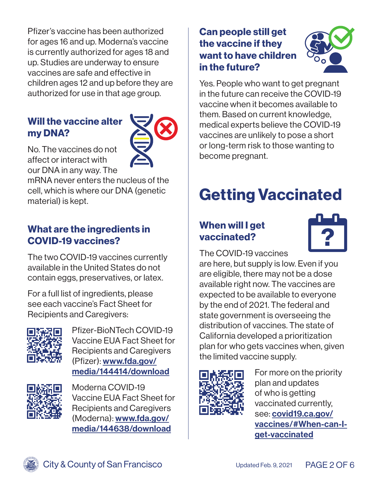<span id="page-1-0"></span>Pfizer's vaccine has been authorized for ages 16 and up. Moderna's vaccine is currently authorized for ages 18 and up. Studies are underway to ensure vaccines are safe and effective in children ages 12 and up before they are authorized for use in that age group.

#### Will the vaccine alter my DNA?



No. The vaccines do not affect or interact with our DNA in any way. The

mRNA never enters the nucleus of the cell, which is where our DNA (genetic material) is kept.

### What are the ingredients in COVID-19 vaccines?

The two COVID-19 vaccines currently available in the United States do not contain eggs, preservatives, or latex.

For a full list of ingredients, please see each vaccine's Fact Sheet for Recipients and Caregivers:



Pfizer-BioNTech COVID-19 Vaccine EUA Fact Sheet for Recipients and Caregivers (Pfizer): [www.fda.gov/](http://www.fda.gov/media/144414/download) [media/144414/download](http://www.fda.gov/media/144414/download)



Moderna COVID-19 Vaccine EUA Fact Sheet for Recipients and Caregivers (Moderna): [www.fda.gov/](http://www.fda.gov/media/144638/download) [media/144638/download](http://www.fda.gov/media/144638/download)

#### Can people still get the vaccine if they want to have children in the future?



Yes. People who want to get pregnant in the future can receive the COVID-19 vaccine when it becomes available to them. Based on current knowledge, medical experts believe the COVID-19 vaccines are unlikely to pose a short or long-term risk to those wanting to become pregnant.

# Getting Vaccinated

# When will I get vaccinated?



The COVID-19 vaccines

are here, but supply is low. Even if you are eligible, there may not be a dose available right now. The vaccines are expected to be available to everyone by the end of 2021. The federal and state government is overseeing the distribution of vaccines. The state of California developed a prioritization plan for who gets vaccines when, given the limited vaccine supply.



For more on the priority plan and updates of who is getting vaccinated currently, see: [covid19.ca.gov/](http://covid19.ca.gov/vaccines/#When-can-I-get-vaccinated) [vaccines/#When-can-I](http://covid19.ca.gov/vaccines/#When-can-I-get-vaccinated)[get-vaccinated](http://covid19.ca.gov/vaccines/#When-can-I-get-vaccinated)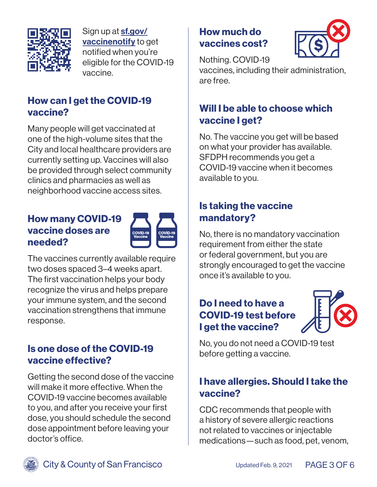

Sign up at **[sf.gov/](http://sf.gov/vaccinenotify)** [vaccinenotify](http://sf.gov/vaccinenotify) to get notified when you're eligible for the COVID-19 vaccine.

#### How can I get the COVID-19 vaccine?

Many people will get vaccinated at one of the high-volume sites that the City and local healthcare providers are currently setting up. Vaccines will also be provided through select community clinics and pharmacies as well as neighborhood vaccine access sites.

#### How many COVID-19 vaccine doses are needed?



The vaccines currently available require two doses spaced 3–4 weeks apart. The first vaccination helps your body recognize the virus and helps prepare your immune system, and the second vaccination strengthens that immune response.

### Is one dose of the COVID-19 vaccine effective?

Getting the second dose of the vaccine will make it more effective. When the COVID-19 vaccine becomes available to you, and after you receive your first dose, you should schedule the second dose appointment before leaving your doctor's office.

# How much do vaccines cost?



Nothing. COVID-19

vaccines, including their administration, are free.

# Will I be able to choose which vaccine I get?

No. The vaccine you get will be based on what your provider has available. SFDPH recommends you get a COVID-19 vaccine when it becomes available to you.

## Is taking the vaccine mandatory?

No, there is no mandatory vaccination requirement from either the state or federal government, but you are strongly encouraged to get the vaccine once it's available to you.

# Do I need to have a COVID-19 test before I get the vaccine?



No, you do not need a COVID-19 test before getting a vaccine.

## I have allergies. Should I take the vaccine?

CDC recommends that people with a history of severe allergic reactions not related to vaccines or injectable medications—such as food, pet, venom,

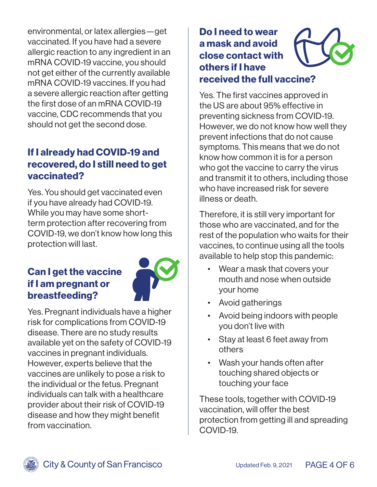environmental, or latex allergies—get vaccinated. If you have had a severe allergic reaction to any ingredient in an mRNA COVID-19 vaccine, you should not get either of the currently available mRNA COVID-19 vaccines. If you had a severe allergic reaction after getting the first dose of an mRNA COVID-19 vaccine, CDC recommends that you should not get the second dose.

### If I already had COVID-19 and recovered, do I still need to get vaccinated?

Yes. You should get vaccinated even if you have already had COVID-19. While you may have some shortterm protection after recovering from COVID-19, we don't know how long this protection will last.

#### Can I get the vaccine if I am pregnant or breastfeeding?



Yes. Pregnant individuals have a higher risk for complications from COVID-19 disease. There are no study results available yet on the safety of COVID-19 vaccines in pregnant individuals. However, experts believe that the vaccines are unlikely to pose a risk to the individual or the fetus. Pregnant individuals can talk with a healthcare provider about their risk of COVID-19 disease and how they might benefit from vaccination.

# Do I need to wear a mask and avoid close contact with others if I have received the full vaccine?

Yes. The first vaccines approved in the US are about 95% effective in preventing sickness from COVID-19. However, we do not know how well they prevent infections that do not cause symptoms. This means that we do not know how common it is for a person who got the vaccine to carry the virus and transmit it to others, including those who have increased risk for severe illness or death.

Therefore, it is still very important for those who are vaccinated, and for the rest of the population who waits for their vaccines, to continue using all the tools available to help stop this pandemic:

- Wear a mask that covers your mouth and nose when outside your home
- Avoid gatherings
- Avoid being indoors with people you don't live with
- Stay at least 6 feet away from others
- Wash your hands often after touching shared objects or touching your face

These tools, together with COVID-19 vaccination, will offer the best protection from getting ill and spreading COVID-19.

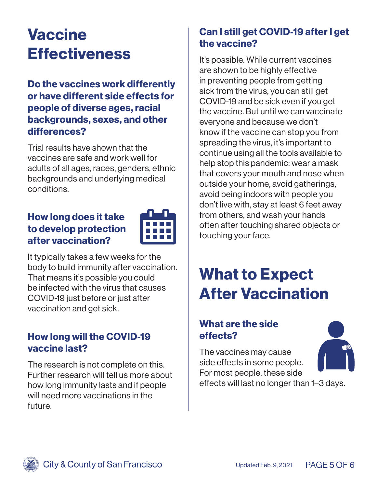# <span id="page-4-0"></span>**Vaccine Effectiveness**

Do the vaccines work differently or have different side effects for people of diverse ages, racial backgrounds, sexes, and other differences?

Trial results have shown that the vaccines are safe and work well for adults of all ages, races, genders, ethnic backgrounds and underlying medical conditions.

#### How long does it take to develop protection after vaccination?



It typically takes a few weeks for the body to build immunity after vaccination. That means it's possible you could be infected with the virus that causes COVID-19 just before or just after vaccination and get sick.

#### How long will the COVID-19 vaccine last?

The research is not complete on this. Further research will tell us more about how long immunity lasts and if people will need more vaccinations in the future.

# Can I still get COVID-19 after I get the vaccine?

It's possible. While current vaccines are shown to be highly effective in preventing people from getting sick from the virus, you can still get COVID-19 and be sick even if you get the vaccine. But until we can vaccinate everyone and because we don't know if the vaccine can stop you from spreading the virus, it's important to continue using all the tools available to help stop this pandemic: wear a mask that covers your mouth and nose when outside your home, avoid gatherings, avoid being indoors with people you don't live with, stay at least 6 feet away from others, and wash your hands often after touching shared objects or touching your face.

# What to Expect After Vaccination

# What are the side effects?

The vaccines may cause side effects in some people. For most people, these side effects will last no longer than 1–3 days.